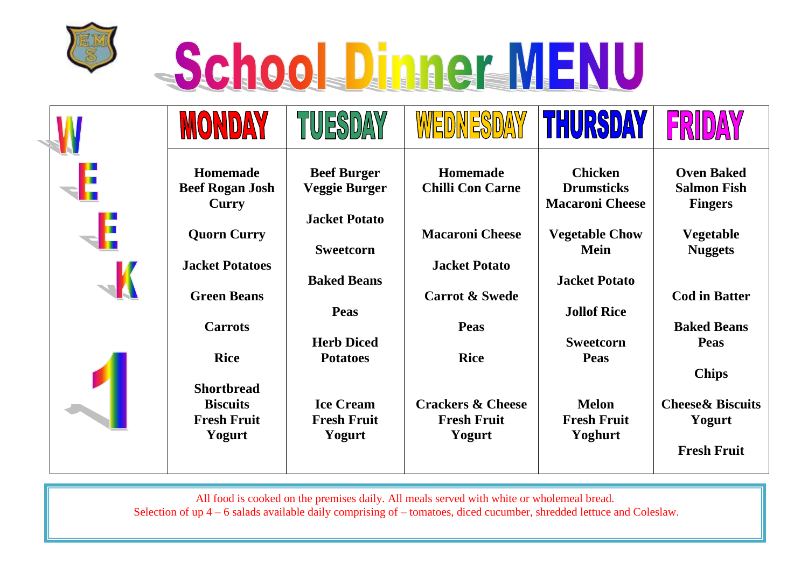

## **SchoolsDinner WENU**

|                                    | TUESI                                                             |                                                    | THURSDAY                                                            | FR                                                                          |
|------------------------------------|-------------------------------------------------------------------|----------------------------------------------------|---------------------------------------------------------------------|-----------------------------------------------------------------------------|
| Homemade<br><b>Beef Rogan Josh</b> | <b>Beef Burger</b><br><b>Veggie Burger</b>                        | Homemade<br><b>Chilli Con Carne</b>                | <b>Chicken</b><br><b>Drumsticks</b>                                 | <b>Oven Baked</b><br><b>Salmon Fish</b><br><b>Fingers</b>                   |
| <b>Quorn Curry</b>                 | <b>Jacket Potato</b><br><b>Sweetcorn</b>                          | <b>Macaroni Cheese</b>                             | <b>Vegetable Chow</b><br><b>Mein</b>                                | <b>Vegetable</b><br><b>Nuggets</b>                                          |
| <b>Green Beans</b>                 | <b>Baked Beans</b>                                                | <b>Carrot &amp; Swede</b>                          | <b>Jacket Potato</b>                                                | <b>Cod in Batter</b>                                                        |
| <b>Carrots</b>                     | <b>Herb Diced</b>                                                 | <b>Peas</b>                                        | <b>Sweetcorn</b>                                                    | <b>Baked Beans</b><br><b>Peas</b>                                           |
| <b>Shortbread</b>                  |                                                                   |                                                    |                                                                     | <b>Chips</b><br><b>Cheese&amp; Biscuits</b>                                 |
| <b>Fresh Fruit</b><br>Yogurt       | <b>Fresh Fruit</b><br>Yogurt                                      | <b>Fresh Fruit</b><br>Yogurt                       | <b>Fresh Fruit</b><br>Yoghurt                                       | Yogurt<br><b>Fresh Fruit</b>                                                |
|                                    | Curry<br><b>Jacket Potatoes</b><br><b>Rice</b><br><b>Biscuits</b> | <b>Peas</b><br><b>Potatoes</b><br><b>Ice Cream</b> | <b>Jacket Potato</b><br><b>Rice</b><br><b>Crackers &amp; Cheese</b> | <b>Macaroni Cheese</b><br><b>Jollof Rice</b><br><b>Peas</b><br><b>Melon</b> |

All food is cooked on the premises daily. All meals served with white or wholemeal bread.

Selection of up 4 – 6 salads available daily comprising of – tomatoes, diced cucumber, shredded lettuce and Coleslaw.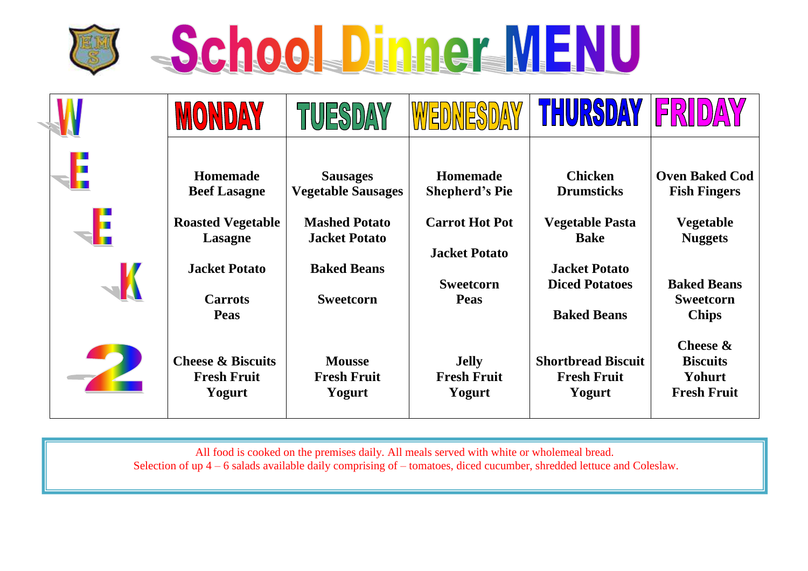



|                                                              | TUESDAY                                       |                                               | THURSDAY                                                            | $ \mathsf{F} $                                                              |
|--------------------------------------------------------------|-----------------------------------------------|-----------------------------------------------|---------------------------------------------------------------------|-----------------------------------------------------------------------------|
| <b>Homemade</b><br><b>Beef Lasagne</b>                       | <b>Sausages</b><br><b>Vegetable Sausages</b>  | <b>Homemade</b><br><b>Shepherd's Pie</b>      | <b>Chicken</b><br><b>Drumsticks</b>                                 | <b>Oven Baked Cod</b><br><b>Fish Fingers</b>                                |
| <b>Roasted Vegetable</b><br>Lasagne                          | <b>Mashed Potato</b><br><b>Jacket Potato</b>  | <b>Carrot Hot Pot</b><br><b>Jacket Potato</b> | <b>Vegetable Pasta</b><br><b>Bake</b>                               | <b>Vegetable</b><br><b>Nuggets</b>                                          |
| <b>Jacket Potato</b><br><b>Carrots</b><br><b>Peas</b>        | <b>Baked Beans</b><br><b>Sweetcorn</b>        | <b>Sweetcorn</b><br><b>Peas</b>               | <b>Jacket Potato</b><br><b>Diced Potatoes</b><br><b>Baked Beans</b> | <b>Baked Beans</b><br><b>Sweetcorn</b>                                      |
| <b>Cheese &amp; Biscuits</b><br><b>Fresh Fruit</b><br>Yogurt | <b>Mousse</b><br><b>Fresh Fruit</b><br>Yogurt | <b>Jelly</b><br><b>Fresh Fruit</b><br>Yogurt  | <b>Shortbread Biscuit</b><br><b>Fresh Fruit</b><br>Yogurt           | <b>Chips</b><br>Cheese &<br><b>Biscuits</b><br>Yohurt<br><b>Fresh Fruit</b> |

All food is cooked on the premises daily. All meals served with white or wholemeal bread. Selection of up 4 – 6 salads available daily comprising of – tomatoes, diced cucumber, shredded lettuce and Coleslaw.